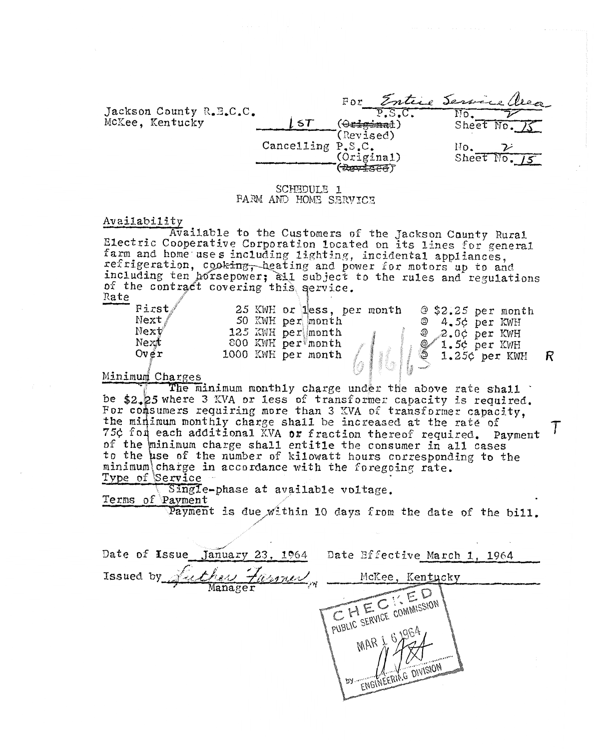|                         |                   | For                                  | Entire Service Quea |
|-------------------------|-------------------|--------------------------------------|---------------------|
| Jackson County R.E.C.C. |                   |                                      |                     |
| McKee, Kentucky         |                   |                                      | Sheet $No.$ / $S$   |
|                         |                   | (Revised)                            |                     |
|                         | Cancelling P.S.C. |                                      |                     |
|                         |                   | (Original)<br>$(\overline{Reverse})$ | Sheet $No. 15$      |

SCHEDULE 1 FARM AND HOME SERVICE

### Av ai Lab i 1 ? **t** <sup>y</sup>

Available to the Customers of the Jackson Caunty Rural<br>Electric Cooperative Corporation located on its lines for general farm and home uses including lighting, incidental appliances, of the contract Rate including ten horsepower; all subject to the rules and regulations *i*  Electric<br>
farm and<br>
refrigera<br>
including<br>
of the conte<br>
Rate<br>
Firs<br>
Next

| 1000 KWH per month<br>1.25¢ per KWH<br>nimumi Channan |  | First/<br>Next/<br>Next<br>Next<br>Over |  | 25 KWH or less, per month | <u>ල</u><br>ල | $@$ \$2.25 per month |  |
|-------------------------------------------------------|--|-----------------------------------------|--|---------------------------|---------------|----------------------|--|
| 800 KWH per month<br>$1.5$ ¢ per KWH                  |  |                                         |  |                           |               |                      |  |
| 125 KWH per month<br>$Q$ $2.0$ c per KWH              |  |                                         |  |                           |               |                      |  |
| 50 KWH per month<br>@ 4.5¢ per KWH                    |  |                                         |  |                           |               |                      |  |

# Minimum Charges

The minimum monthly charge under the above rate shall inimum monthly charge under the above rate shall<br>3 KVA or less of transformer capacity is required. where 3 KVA or less or transformer capacity is required.<br>umers requiring more than 3 KVA of transformer capacity. the minimum monthly charge shall be increased at the rate of 75¢ for each additional KVA or fraction thereof required. Payment of the minimum charge shall entitle the consumer in all cases to the use of the number of kilowatt hours corresponding to the minimum charge in accordance with the foregoing rate.<br>Type of Service T

Single-phase at available voltage. Terms of Payment

Payment is due within 10 days from the date of the bill.

Date of Issue January 23, 1964 Date Bffective March 1, 1964 Luther Farmer Issued by McKee, Kentucky CHEC COMMISSION PUBLIC SERVICE COMMISSION MAR) ENGINEERING DIVISION  $D\lambda$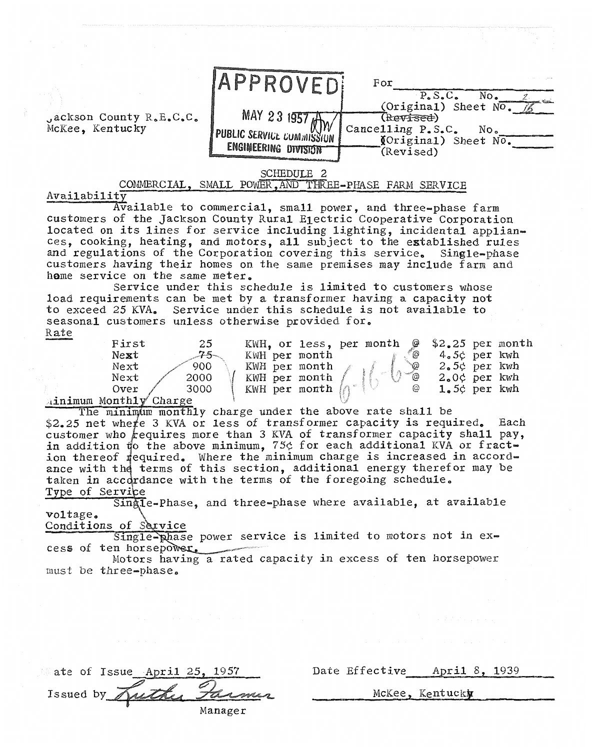

Availability<br>Available to commercial, small power, and three-phase farm customers of the Jackson County Rural Electric Cooperative Corporation located on its lines for service including lighting, incidental appliances, cooking, heating, and motors, all subject to the established rules and regulations of the Corporation covering this service. Single-phase customers having their homes on the same premises may include farm and home service on the same meter.

Service under this schedule is limited to customers whose load requirements can be **met** by a transformer having a capacity not to exceed 25 KVA, Service under this schedule is not available to seasonal customers unless otherwise provided for, Rate customers having their homes on the same premises may include farm and<br>home service on the same meter.<br>Service under this schedule is limited to customers whose<br>load requirements can be met by a transformer having a capaci

| First         | 25    |                        |  | KWH, or less, per month $\mathcal Q$ |                 | $$2.25$ per month |
|---------------|-------|------------------------|--|--------------------------------------|-----------------|-------------------|
| Next          | $75-$ | KWH per month          |  | (a)                                  | 4.5¢ per kwh    |                   |
| Next          | 900   | KWH per month          |  | `@                                   | $2.5c$ per kwh  |                   |
| Next          | 2000  | KWH per month          |  | $\infty$                             | $2.0$ c per kwh |                   |
| Over          | 3000  | KWH per month $\lVert$ |  | @                                    | $1.5$ c per kwh |                   |
| onth1v Charge |       |                        |  |                                      |                 |                   |

Ainimum Mo

The minimum monthly charge under the above rate shall be \$2.25 net where 3 KVA or less of transformer capacity is required. Each customer who  $k$  equires more than 3 KVA of transformer capacity shall pay, in addition to the above minimum, 75¢ for each additional KVA or fraction thereof required. Where the minimum charge is increased in accordance with the terms of this section, additional energy therefor may be taken in accordance with the terms of the foregoing schedule. Type of Service

Single-Phase, and three-phase where available, at available voltage.

Conditions of Service

Single-phase power service is limited to motors not in ex-<br>cess of ten horsepower. ,&'---

Motors having a rated capacity in excess of ten horsepower nust be three-phase,

Date Effective April 8, 1939

McKee, Kentucky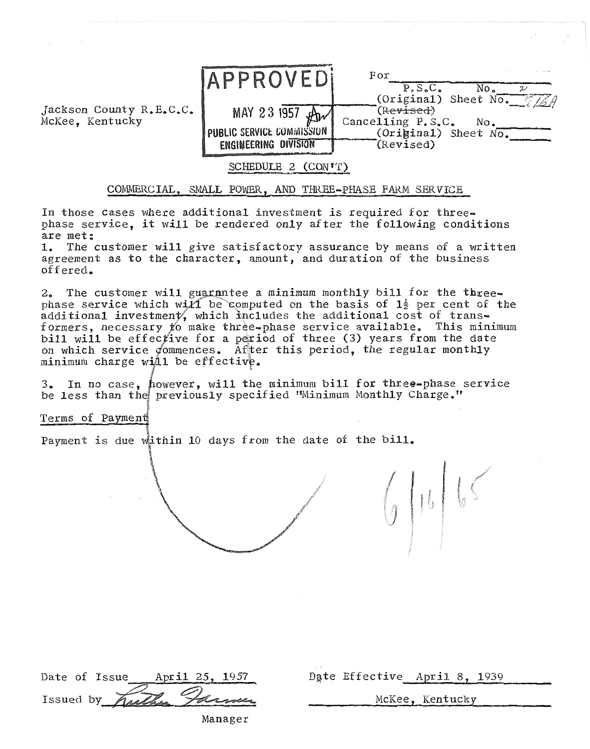

# COMMERCIAL, SMALL POWER, AND THREE-PHASE FARM SERVICE

In those cases where additional investment is required for threephase service, **it** will be rendered only after the following conditions are met:

1. The customer will give satisfactory assurance by means of a written agreement as to the character, amount, and duration of the business offered,

2. The customer will guarantee a minimum monthly bill for the threephase service which will be computed on the basis of  $1\frac{1}{2}$  per cent of the additional investment, which includes the additional cost of transformers, necessary to make three-phase service available. This minimum bill will be effective for a period of three (3) years from the date on which service commences. After this period, the regular monthly minimum charge will be effective.

ever, will the minimum bill for three-phase service<br>eviously specified "Minimum Monthly Charge."

Terms of Payment

Payment is due within 10 days from the date of the bill.

|  |  | Date of Issue April 25, 1957 |                       |
|--|--|------------------------------|-----------------------|
|  |  |                              | Issued by Kuthy James |
|  |  |                              |                       |

Date Effective April 8, 1939

McKee, Kentucky

 $\int_0^1\int_0^1\int_0^1\int_0^1\int_0^1\int_0^1\int_0^1\int_0^1\int_0^1\int_0^1\int_0^1\int_0^1\int_0^1\int_0^1\int_0^1\int_0^1\int_0^1\int_0^1\int_0^1\int_0^1\int_0^1\int_0^1\int_0^1\int_0^1\int_0^1\int_0^1\int_0^1\int_0^1\int_0^1\int_0^1\int_0^1\int_0^1\int_0^1\int_0^1\int_0^1\int_0^1\int_0$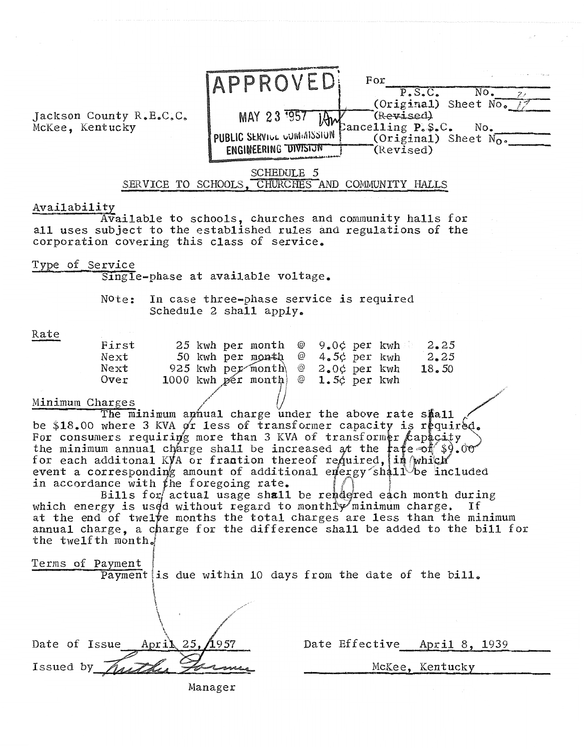

Availability<br>Available to schools, churches and community halls for all uses subject to the established rules **and** regulations of the corporation covering this class of service,

Type of Se

Single-phase at available voltage.

Note: In case three-phase service is required Schedule 2 shall apply.

| First |  | 25 kwh per month $\mathcal Q$ 9.0 $\phi$ per kwh $\mathcal Q$ 2.25 |  |  |       |
|-------|--|--------------------------------------------------------------------|--|--|-------|
| Next  |  | 50 kwh per month @ 4.5¢ per kwh                                    |  |  | 2, 25 |
| Next  |  | 925 kwh per month $\mathcal{Q}$ 2.00 per kwh                       |  |  | 18.50 |
| Over  |  | 1000 kwh pér month $\emptyset$ 1.5 $\phi$ per kwh                  |  |  |       |
|       |  |                                                                    |  |  |       |

## Minimum Charges

The minimum aphual charge under the above rate shall be \$18.00 where 3 KVA or less of transformer capacity is required. For consumers requiring more than 3 KVA of transformer capacity the minimum annual charge shall be increased for each additonal KyA or frantion thereof re event a corresponding amount of additional energy shall be included in accordance with the foregoing rate.

usage shall be rendered each month during which energy is used without regard to monthromainimum charge. If at the end of twelve months the total charges are less than the minimum annual charge, a charge for the difference shall be added to the bill for the twelfth month.

|  | Terms of Payment |  |
|--|------------------|--|
|  |                  |  |

i Payment is due within 10 days from the date of the bill.

| Date of Issue      | April 25, $/1957$ |
|--------------------|-------------------|
| Issued by $\angle$ |                   |
|                    |                   |

t F

Date Effective April 8, 1939

McKee, Kentucky